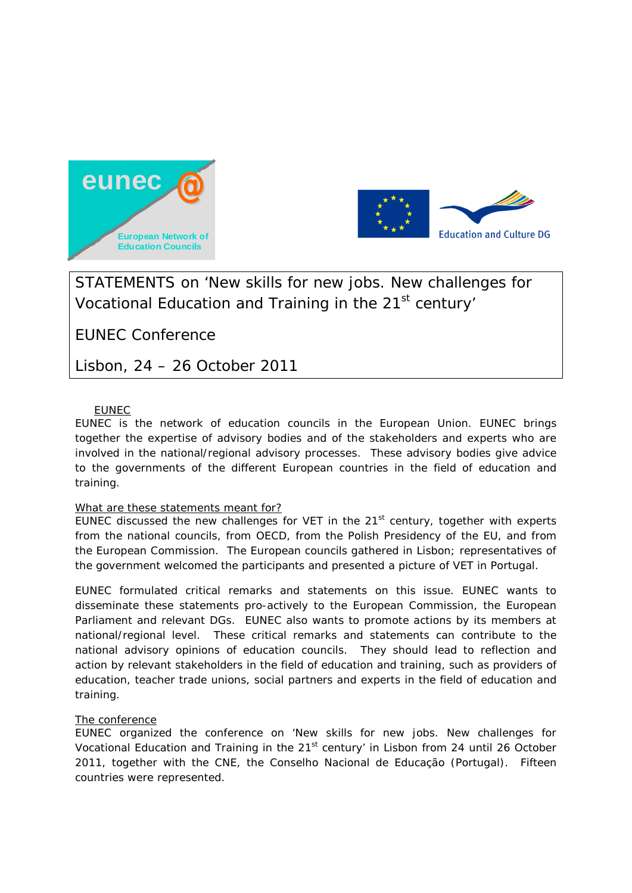



STATEMENTS on 'New skills for new jobs. New challenges for Vocational Education and Training in the 21<sup>st</sup> century'

EUNEC Conference

Lisbon, 24 – 26 October 2011

# EUNEC

EUNEC is the network of education councils in the European Union. EUNEC brings together the expertise of advisory bodies and of the stakeholders and experts who are involved in the national/regional advisory processes. These advisory bodies give advice to the governments of the different European countries in the field of education and training.

# What are these statements meant for?

EUNEC discussed the new challenges for VET in the  $21<sup>st</sup>$  century, together with experts from the national councils, from OECD, from the Polish Presidency of the EU, and from the European Commission. The European councils gathered in Lisbon; representatives of the government welcomed the participants and presented a picture of VET in Portugal.

EUNEC formulated critical remarks and statements on this issue. EUNEC wants to disseminate these statements pro-actively to the European Commission, the European Parliament and relevant DGs. EUNEC also wants to promote actions by its members at national/regional level. These critical remarks and statements can contribute to the national advisory opinions of education councils. They should lead to reflection and action by relevant stakeholders in the field of education and training, such as providers of education, teacher trade unions, social partners and experts in the field of education and training.

## The conference

EUNEC organized the conference on 'New skills for new jobs. New challenges for Vocational Education and Training in the 21<sup>st</sup> century' in Lisbon from 24 until 26 October 2011, together with the CNE, the Conselho Nacional de Educação (Portugal). Fifteen countries were represented.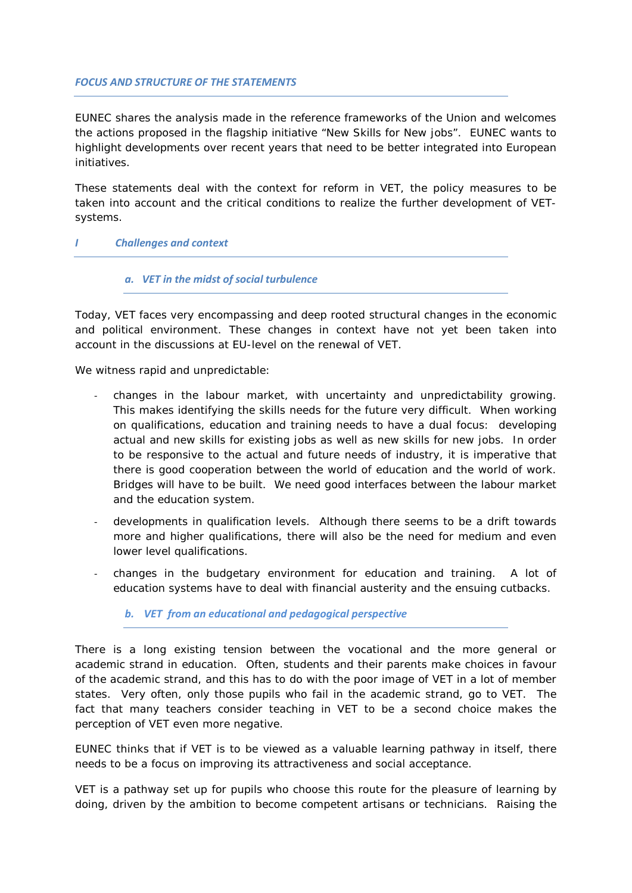#### *FOCUS AND STRUCTURE OF THE STATEMENTS*

EUNEC shares the analysis made in the reference frameworks of the Union and welcomes the actions proposed in the flagship initiative "New Skills for New jobs". EUNEC wants to highlight developments over recent years that need to be better integrated into European initiatives.

These statements deal with the context for reform in VET, the policy measures to be taken into account and the critical conditions to realize the further development of VETsystems.

## *I Challenges and context*

#### *a. VET in the midst of social turbulence*

Today, VET faces very encompassing and deep rooted structural changes in the economic and political environment. These changes in context have not yet been taken into account in the discussions at EU-level on the renewal of VET.

We witness rapid and unpredictable:

- changes in the labour market, with uncertainty and unpredictability growing. This makes identifying the skills needs for the future very difficult. When working on qualifications, education and training needs to have a dual focus: developing actual and new skills for existing jobs as well as new skills for new jobs. In order to be responsive to the actual and future needs of industry, it is imperative that there is good cooperation between the world of education and the world of work. Bridges will have to be built. We need good interfaces between the labour market and the education system.
- developments in qualification levels. Although there seems to be a drift towards more and higher qualifications, there will also be the need for medium and even lower level qualifications.
- changes in the budgetary environment for education and training. A lot of education systems have to deal with financial austerity and the ensuing cutbacks.

# *b. VET from an educational and pedagogical perspective*

There is a long existing tension between the vocational and the more general or academic strand in education. Often, students and their parents make choices in favour of the academic strand, and this has to do with the poor image of VET in a lot of member states. Very often, only those pupils who fail in the academic strand, go to VET. The fact that many teachers consider teaching in VET to be a second choice makes the perception of VET even more negative.

EUNEC thinks that if VET is to be viewed as a valuable learning pathway in itself, there needs to be a focus on improving its attractiveness and social acceptance.

VET is a pathway set up for pupils who choose this route for the pleasure of learning by doing, driven by the ambition to become competent artisans or technicians. Raising the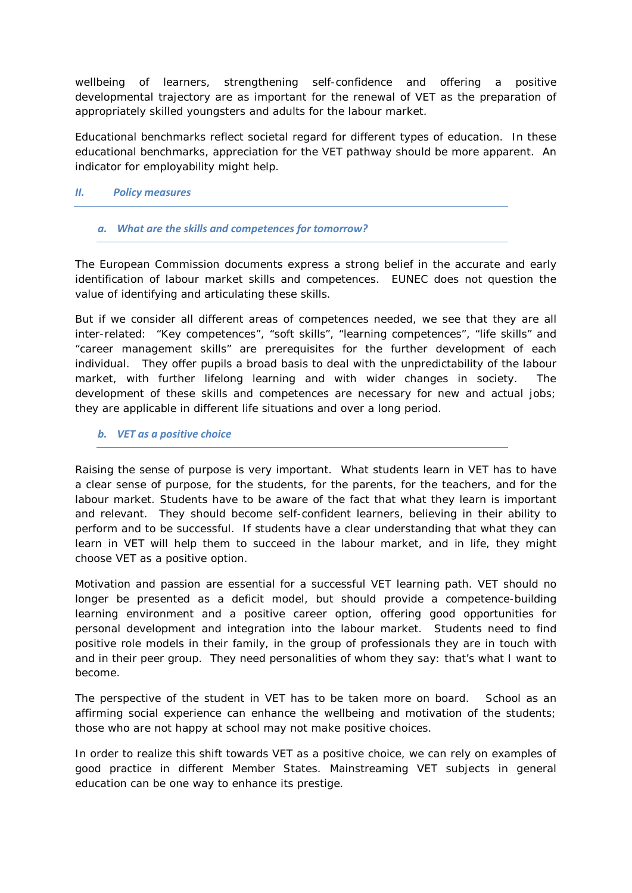wellbeing of learners, strengthening self-confidence and offering a positive developmental trajectory are as important for the renewal of VET as the preparation of appropriately skilled youngsters and adults for the labour market.

Educational benchmarks reflect societal regard for different types of education. In these educational benchmarks, appreciation for the VET pathway should be more apparent. An indicator for employability might help.

## *II. Policy measures*

# *a. What are the skills and competences for tomorrow?*

The European Commission documents express a strong belief in the accurate and early identification of labour market skills and competences. EUNEC does not question the value of identifying and articulating these skills.

But if we consider all different areas of competences needed, we see that they are all inter-related: "Key competences", "soft skills", "learning competences", "life skills" and "career management skills" are prerequisites for the further development of each individual. They offer pupils a broad basis to deal with the unpredictability of the labour market, with further lifelong learning and with wider changes in society. The development of these skills and competences are necessary for new and actual jobs; they are applicable in different life situations and over a long period.

## *b. VET as a positive choice*

Raising the sense of purpose is very important. What students learn in VET has to have a clear sense of purpose, for the students, for the parents, for the teachers, and for the labour market. Students have to be aware of the fact that what they learn is important and relevant. They should become self-confident learners, believing in their ability to perform and to be successful. If students have a clear understanding that what they can learn in VET will help them to succeed in the labour market, and in life, they might choose VET as a positive option.

Motivation and passion are essential for a successful VET learning path. VET should no longer be presented as a deficit model, but should provide a competence-building learning environment and a positive career option, offering good opportunities for personal development and integration into the labour market. Students need to find positive role models in their family, in the group of professionals they are in touch with and in their peer group. They need personalities of whom they say: that's what I want to become.

The perspective of the student in VET has to be taken more on board. School as an affirming social experience can enhance the wellbeing and motivation of the students; those who are not happy at school may not make positive choices.

In order to realize this shift towards VET as a positive choice, we can rely on examples of good practice in different Member States. Mainstreaming VET subjects in general education can be one way to enhance its prestige.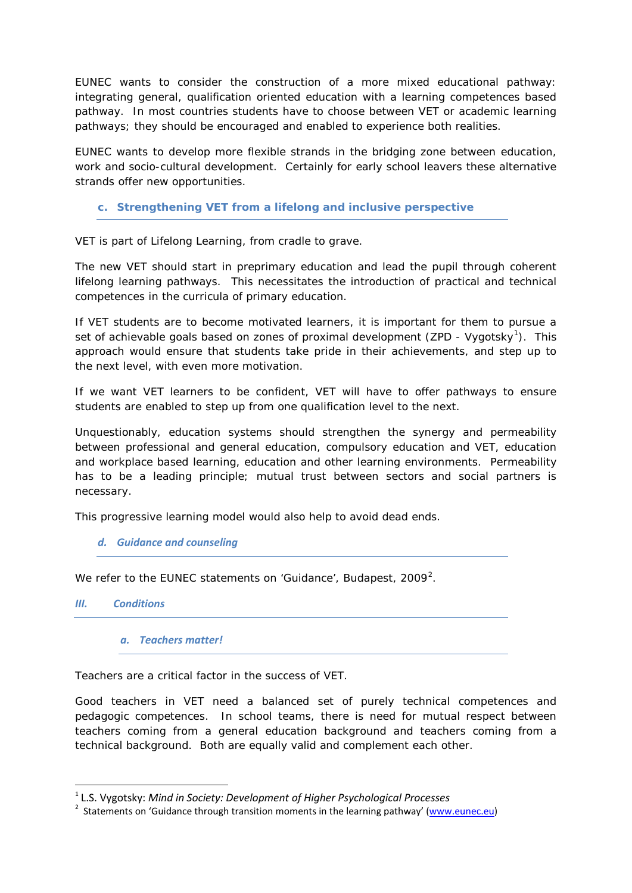EUNEC wants to consider the construction of a more mixed educational pathway: integrating general, qualification oriented education with a learning competences based pathway. In most countries students have to choose between VET or academic learning pathways; they should be encouraged and enabled to experience both realities.

EUNEC wants to develop more flexible strands in the bridging zone between education, work and socio-cultural development. Certainly for early school leavers these alternative strands offer new opportunities.

# *c. Strengthening VET from a lifelong and inclusive perspective*

VET is part of Lifelong Learning, from cradle to grave.

The new VET should start in preprimary education and lead the pupil through coherent lifelong learning pathways. This necessitates the introduction of practical and technical competences in the curricula of primary education.

If VET students are to become motivated learners, it is important for them to pursue a set of achievable goals based on zones of proximal development (ZPD - Vygotsky<sup>[1](#page-3-0)</sup>). This approach would ensure that students take pride in their achievements, and step up to the next level, with even more motivation.

If we want VET learners to be confident, VET will have to offer pathways to ensure students are enabled to step up from one qualification level to the next.

Unquestionably, education systems should strengthen the synergy and permeability between professional and general education, compulsory education and VET, education and workplace based learning, education and other learning environments. Permeability has to be a leading principle; mutual trust between sectors and social partners is necessary.

This progressive learning model would also help to avoid dead ends.

## *d. Guidance and counseling*

We refer to the EUNEC statements on 'Guidance', Budapest, [2](#page-3-1)009<sup>2</sup>.

## *III. Conditions*

*a. Teachers matter!*

Teachers are a critical factor in the success of VET.

Good teachers in VET need a balanced set of purely technical competences and pedagogic competences. In school teams, there is need for mutual respect between teachers coming from a general education background and teachers coming from a technical background. Both are equally valid and complement each other.

<span id="page-3-0"></span> <sup>1</sup> L.S. Vygotsky: *Mind in Society: Development of Higher Psychological Processes*

<span id="page-3-1"></span><sup>&</sup>lt;sup>2</sup> Statements on 'Guidance through transition moments in the learning pathway' [\(www.eunec.eu\)](http://www.eunec.eu/)